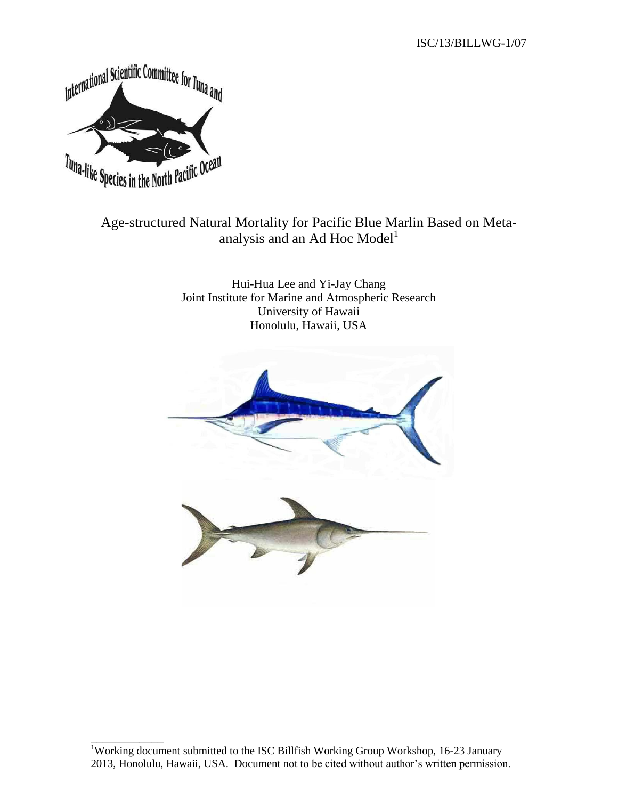ISC/13/BILLWG-1/07



## Age-structured Natural Mortality for Pacific Blue Marlin Based on Metaanalysis and an Ad Hoc Model<sup>1</sup>

Hui-Hua Lee and Yi-Jay Chang Joint Institute for Marine and Atmospheric Research University of Hawaii Honolulu, Hawaii, USA



\_\_\_\_\_\_\_\_\_\_\_\_ <sup>1</sup>Working document submitted to the ISC Billfish Working Group Workshop, 16-23 January 2013, Honolulu, Hawaii, USA. Document not to be cited without author's written permission.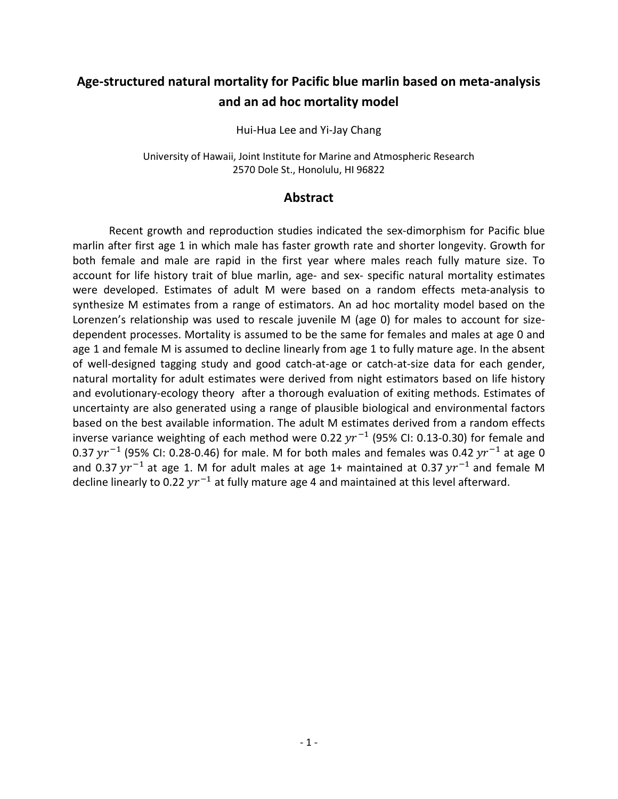# **Age-structured natural mortality for Pacific blue marlin based on meta-analysis and an ad hoc mortality model**

Hui-Hua Lee and Yi-Jay Chang

University of Hawaii, Joint Institute for Marine and Atmospheric Research 2570 Dole St., Honolulu, HI 96822

#### **Abstract**

Recent growth and reproduction studies indicated the sex-dimorphism for Pacific blue marlin after first age 1 in which male has faster growth rate and shorter longevity. Growth for both female and male are rapid in the first year where males reach fully mature size. To account for life history trait of blue marlin, age- and sex- specific natural mortality estimates were developed. Estimates of adult M were based on a random effects meta-analysis to synthesize M estimates from a range of estimators. An ad hoc mortality model based on the Lorenzen's relationship was used to rescale juvenile M (age 0) for males to account for sizedependent processes. Mortality is assumed to be the same for females and males at age 0 and age 1 and female M is assumed to decline linearly from age 1 to fully mature age. In the absent of well-designed tagging study and good catch-at-age or catch-at-size data for each gender, natural mortality for adult estimates were derived from night estimators based on life history and evolutionary-ecology theory after a thorough evaluation of exiting methods. Estimates of uncertainty are also generated using a range of plausible biological and environmental factors based on the best available information. The adult M estimates derived from a random effects inverse variance weighting of each method were 0.22  $yr^{-1}$  (95% CI: 0.13-0.30) for female and 0.37  $\gamma r^{-1}$  (95% CI: 0.28-0.46) for male. M for both males and females was 0.42  $\gamma r^{-1}$  at age 0 and 0.37  $yr^{-1}$  at age 1. M for adult males at age 1+ maintained at 0.37  $yr^{-1}$  and female M decline linearly to 0.22  $yr^{-1}$  at fully mature age 4 and maintained at this level afterward.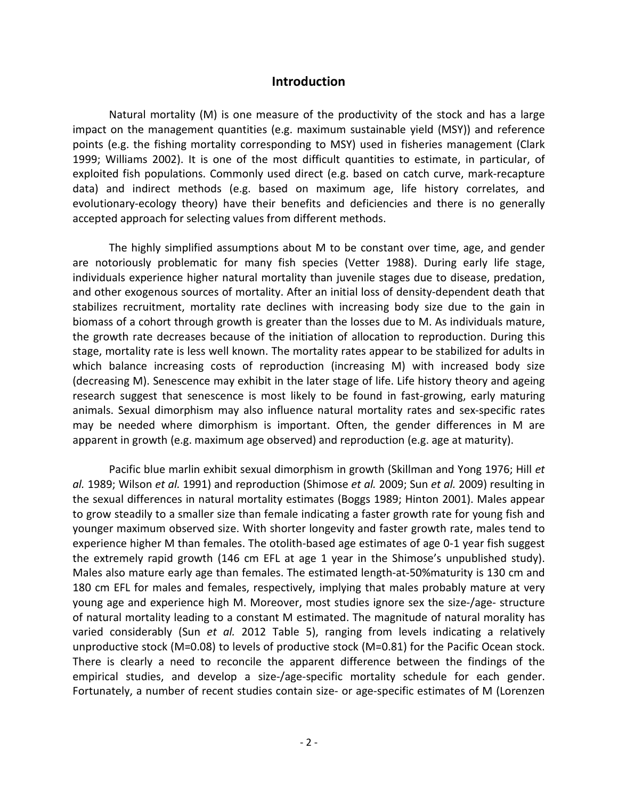#### **Introduction**

Natural mortality (M) is one measure of the productivity of the stock and has a large impact on the management quantities (e.g. maximum sustainable yield (MSY)) and reference points (e.g. the fishing mortality corresponding to MSY) used in fisheries management (Clark 1999; Williams 2002). It is one of the most difficult quantities to estimate, in particular, of exploited fish populations. Commonly used direct (e.g. based on catch curve, mark-recapture data) and indirect methods (e.g. based on maximum age, life history correlates, and evolutionary-ecology theory) have their benefits and deficiencies and there is no generally accepted approach for selecting values from different methods.

The highly simplified assumptions about M to be constant over time, age, and gender are notoriously problematic for many fish species (Vetter 1988). During early life stage, individuals experience higher natural mortality than juvenile stages due to disease, predation, and other exogenous sources of mortality. After an initial loss of density-dependent death that stabilizes recruitment, mortality rate declines with increasing body size due to the gain in biomass of a cohort through growth is greater than the losses due to M. As individuals mature, the growth rate decreases because of the initiation of allocation to reproduction. During this stage, mortality rate is less well known. The mortality rates appear to be stabilized for adults in which balance increasing costs of reproduction (increasing M) with increased body size (decreasing M). Senescence may exhibit in the later stage of life. Life history theory and ageing research suggest that senescence is most likely to be found in fast-growing, early maturing animals. Sexual dimorphism may also influence natural mortality rates and sex-specific rates may be needed where dimorphism is important. Often, the gender differences in M are apparent in growth (e.g. maximum age observed) and reproduction (e.g. age at maturity).

Pacific blue marlin exhibit sexual dimorphism in growth (Skillman and Yong 1976; Hill *et al.* 1989; Wilson *et al.* 1991) and reproduction (Shimose *et al.* 2009; Sun *et al.* 2009) resulting in the sexual differences in natural mortality estimates (Boggs 1989; Hinton 2001). Males appear to grow steadily to a smaller size than female indicating a faster growth rate for young fish and younger maximum observed size. With shorter longevity and faster growth rate, males tend to experience higher M than females. The otolith-based age estimates of age 0-1 year fish suggest the extremely rapid growth (146 cm EFL at age 1 year in the Shimose's unpublished study). Males also mature early age than females. The estimated length-at-50%maturity is 130 cm and 180 cm EFL for males and females, respectively, implying that males probably mature at very young age and experience high M. Moreover, most studies ignore sex the size-/age- structure of natural mortality leading to a constant M estimated. The magnitude of natural morality has varied considerably (Sun *et al.* 2012 Table 5), ranging from levels indicating a relatively unproductive stock (M=0.08) to levels of productive stock (M=0.81) for the Pacific Ocean stock. There is clearly a need to reconcile the apparent difference between the findings of the empirical studies, and develop a size-/age-specific mortality schedule for each gender. Fortunately, a number of recent studies contain size- or age-specific estimates of M (Lorenzen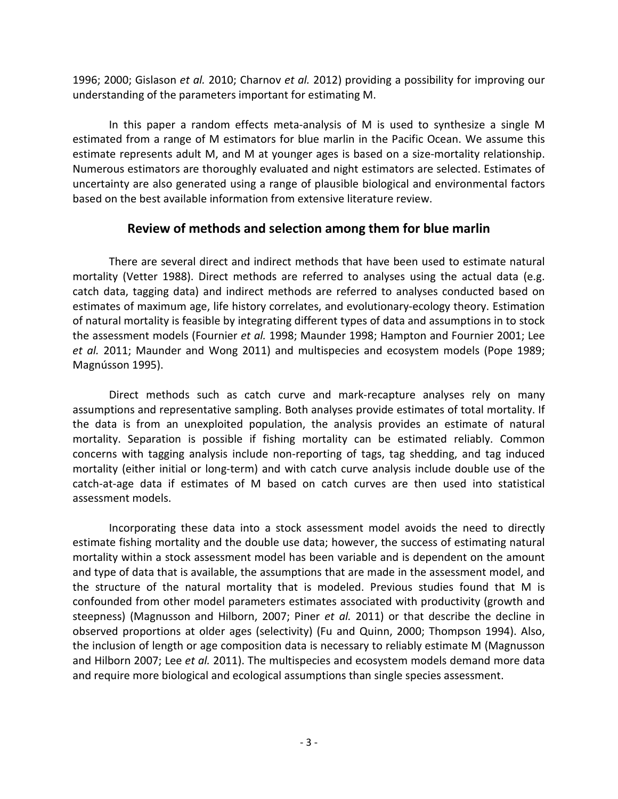1996; 2000; Gislason *et al.* 2010; Charnov *et al.* 2012) providing a possibility for improving our understanding of the parameters important for estimating M.

In this paper a random effects meta-analysis of M is used to synthesize a single M estimated from a range of M estimators for blue marlin in the Pacific Ocean. We assume this estimate represents adult M, and M at younger ages is based on a size-mortality relationship. Numerous estimators are thoroughly evaluated and night estimators are selected. Estimates of uncertainty are also generated using a range of plausible biological and environmental factors based on the best available information from extensive literature review.

## **Review of methods and selection among them for blue marlin**

There are several direct and indirect methods that have been used to estimate natural mortality (Vetter 1988). Direct methods are referred to analyses using the actual data (e.g. catch data, tagging data) and indirect methods are referred to analyses conducted based on estimates of maximum age, life history correlates, and evolutionary-ecology theory. Estimation of natural mortality is feasible by integrating different types of data and assumptions in to stock the assessment models (Fournier *et al.* 1998; Maunder 1998; Hampton and Fournier 2001; Lee *et al.* 2011; Maunder and Wong 2011) and multispecies and ecosystem models (Pope 1989; Magnússon 1995).

Direct methods such as catch curve and mark-recapture analyses rely on many assumptions and representative sampling. Both analyses provide estimates of total mortality. If the data is from an unexploited population, the analysis provides an estimate of natural mortality. Separation is possible if fishing mortality can be estimated reliably. Common concerns with tagging analysis include non-reporting of tags, tag shedding, and tag induced mortality (either initial or long-term) and with catch curve analysis include double use of the catch-at-age data if estimates of M based on catch curves are then used into statistical assessment models.

Incorporating these data into a stock assessment model avoids the need to directly estimate fishing mortality and the double use data; however, the success of estimating natural mortality within a stock assessment model has been variable and is dependent on the amount and type of data that is available, the assumptions that are made in the assessment model, and the structure of the natural mortality that is modeled. Previous studies found that M is confounded from other model parameters estimates associated with productivity (growth and steepness) (Magnusson and Hilborn, 2007; Piner *et al.* 2011) or that describe the decline in observed proportions at older ages (selectivity) (Fu and Quinn, 2000; Thompson 1994). Also, the inclusion of length or age composition data is necessary to reliably estimate M (Magnusson and Hilborn 2007; Lee *et al.* 2011). The multispecies and ecosystem models demand more data and require more biological and ecological assumptions than single species assessment.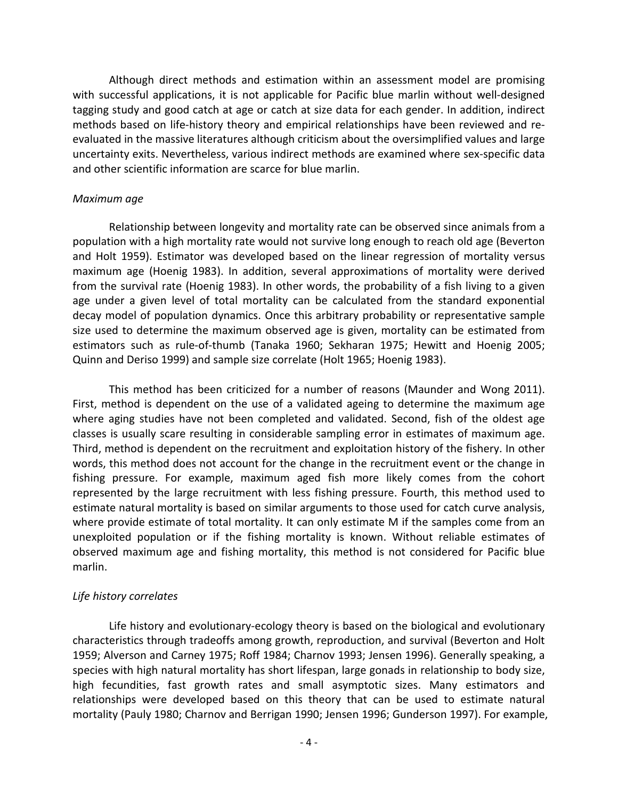Although direct methods and estimation within an assessment model are promising with successful applications, it is not applicable for Pacific blue marlin without well-designed tagging study and good catch at age or catch at size data for each gender. In addition, indirect methods based on life-history theory and empirical relationships have been reviewed and reevaluated in the massive literatures although criticism about the oversimplified values and large uncertainty exits. Nevertheless, various indirect methods are examined where sex-specific data and other scientific information are scarce for blue marlin.

#### *Maximum age*

Relationship between longevity and mortality rate can be observed since animals from a population with a high mortality rate would not survive long enough to reach old age (Beverton and Holt 1959). Estimator was developed based on the linear regression of mortality versus maximum age (Hoenig 1983). In addition, several approximations of mortality were derived from the survival rate (Hoenig 1983). In other words, the probability of a fish living to a given age under a given level of total mortality can be calculated from the standard exponential decay model of population dynamics. Once this arbitrary probability or representative sample size used to determine the maximum observed age is given, mortality can be estimated from estimators such as rule-of-thumb (Tanaka 1960; Sekharan 1975; Hewitt and Hoenig 2005; Quinn and Deriso 1999) and sample size correlate (Holt 1965; Hoenig 1983).

This method has been criticized for a number of reasons (Maunder and Wong 2011). First, method is dependent on the use of a validated ageing to determine the maximum age where aging studies have not been completed and validated. Second, fish of the oldest age classes is usually scare resulting in considerable sampling error in estimates of maximum age. Third, method is dependent on the recruitment and exploitation history of the fishery. In other words, this method does not account for the change in the recruitment event or the change in fishing pressure. For example, maximum aged fish more likely comes from the cohort represented by the large recruitment with less fishing pressure. Fourth, this method used to estimate natural mortality is based on similar arguments to those used for catch curve analysis, where provide estimate of total mortality. It can only estimate M if the samples come from an unexploited population or if the fishing mortality is known. Without reliable estimates of observed maximum age and fishing mortality, this method is not considered for Pacific blue marlin.

### *Life history correlates*

Life history and evolutionary-ecology theory is based on the biological and evolutionary characteristics through tradeoffs among growth, reproduction, and survival (Beverton and Holt 1959; Alverson and Carney 1975; Roff 1984; Charnov 1993; Jensen 1996). Generally speaking, a species with high natural mortality has short lifespan, large gonads in relationship to body size, high fecundities, fast growth rates and small asymptotic sizes. Many estimators and relationships were developed based on this theory that can be used to estimate natural mortality (Pauly 1980; Charnov and Berrigan 1990; Jensen 1996; Gunderson 1997). For example,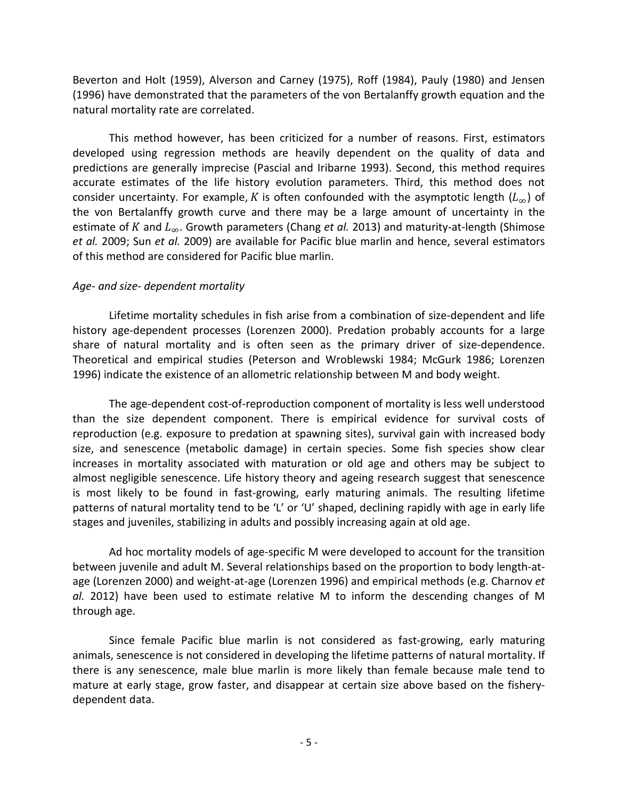Beverton and Holt (1959), Alverson and Carney (1975), Roff (1984), Pauly (1980) and Jensen (1996) have demonstrated that the parameters of the von Bertalanffy growth equation and the natural mortality rate are correlated.

This method however, has been criticized for a number of reasons. First, estimators developed using regression methods are heavily dependent on the quality of data and predictions are generally imprecise (Pascial and Iribarne 1993). Second, this method requires accurate estimates of the life history evolution parameters. Third, this method does not consider uncertainty. For example, K is often confounded with the asymptotic length ( $L_{\infty}$ ) of the von Bertalanffy growth curve and there may be a large amount of uncertainty in the estimate of K and  $L_{\infty}$ . Growth parameters (Chang *et al.* 2013) and maturity-at-length (Shimose *et al.* 2009; Sun *et al.* 2009) are available for Pacific blue marlin and hence, several estimators of this method are considered for Pacific blue marlin.

#### *Age- and size- dependent mortality*

Lifetime mortality schedules in fish arise from a combination of size-dependent and life history age-dependent processes (Lorenzen 2000). Predation probably accounts for a large share of natural mortality and is often seen as the primary driver of size-dependence. Theoretical and empirical studies (Peterson and Wroblewski 1984; McGurk 1986; Lorenzen 1996) indicate the existence of an allometric relationship between M and body weight.

The age-dependent cost-of-reproduction component of mortality is less well understood than the size dependent component. There is empirical evidence for survival costs of reproduction (e.g. exposure to predation at spawning sites), survival gain with increased body size, and senescence (metabolic damage) in certain species. Some fish species show clear increases in mortality associated with maturation or old age and others may be subject to almost negligible senescence. Life history theory and ageing research suggest that senescence is most likely to be found in fast-growing, early maturing animals. The resulting lifetime patterns of natural mortality tend to be 'L' or 'U' shaped, declining rapidly with age in early life stages and juveniles, stabilizing in adults and possibly increasing again at old age.

Ad hoc mortality models of age-specific M were developed to account for the transition between juvenile and adult M. Several relationships based on the proportion to body length-atage (Lorenzen 2000) and weight-at-age (Lorenzen 1996) and empirical methods (e.g. Charnov *et al.* 2012) have been used to estimate relative M to inform the descending changes of M through age.

Since female Pacific blue marlin is not considered as fast-growing, early maturing animals, senescence is not considered in developing the lifetime patterns of natural mortality. If there is any senescence, male blue marlin is more likely than female because male tend to mature at early stage, grow faster, and disappear at certain size above based on the fisherydependent data.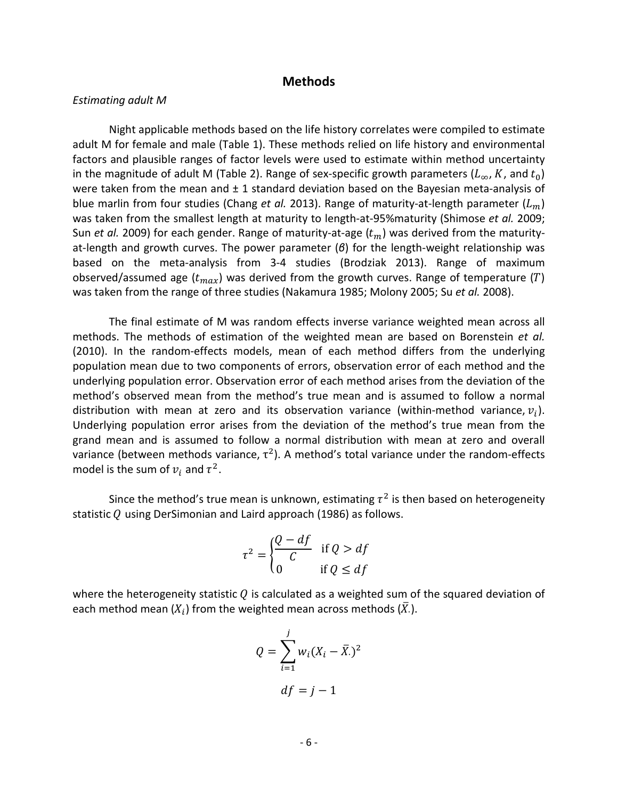#### **Methods**

#### *Estimating adult M*

Night applicable methods based on the life history correlates were compiled to estimate adult M for female and male (Table 1). These methods relied on life history and environmental factors and plausible ranges of factor levels were used to estimate within method uncertainty in the magnitude of adult M (Table 2). Range of sex-specific growth parameters  $(L_{\infty}, K, \text{and } t_0)$ were taken from the mean and  $\pm 1$  standard deviation based on the Bayesian meta-analysis of blue marlin from four studies (Chang *et al.* 2013). Range of maturity-at-length parameter  $(L_m)$ was taken from the smallest length at maturity to length-at-95%maturity (Shimose *et al.* 2009; Sun *et al.* 2009) for each gender. Range of maturity-at-age  $(t_m)$  was derived from the maturityat-length and growth curves. The power parameter (*β*) for the length-weight relationship was based on the meta-analysis from 3-4 studies (Brodziak 2013). Range of maximum observed/assumed age  $(t_{max})$  was derived from the growth curves. Range of temperature (T) was taken from the range of three studies (Nakamura 1985; Molony 2005; Su *et al.* 2008).

The final estimate of M was random effects inverse variance weighted mean across all methods. The methods of estimation of the weighted mean are based on Borenstein *et al.* (2010). In the random-effects models, mean of each method differs from the underlying population mean due to two components of errors, observation error of each method and the underlying population error. Observation error of each method arises from the deviation of the method's observed mean from the method's true mean and is assumed to follow a normal distribution with mean at zero and its observation variance (within-method variance,  $v_i$ ). Underlying population error arises from the deviation of the method's true mean from the grand mean and is assumed to follow a normal distribution with mean at zero and overall variance (between methods variance,  $\tau^2$ ). A method's total variance under the random-effects model is the sum of  $v_i$  and  $\tau^2$ .

Since the method's true mean is unknown, estimating  $\tau^2$  is then based on heterogeneity statistic  $Q$  using DerSimonian and Laird approach (1986) as follows.

$$
\tau^2 = \begin{cases} \frac{Q - df}{C} & \text{if } Q > df \\ 0 & \text{if } Q \le df \end{cases}
$$

where the heterogeneity statistic  $Q$  is calculated as a weighted sum of the squared deviation of each method mean  $(X_i)$  from the weighted mean across methods  $(X_i)$ .

$$
Q = \sum_{i=1}^{j} w_i (X_i - \overline{X})^2
$$

$$
df = j - 1
$$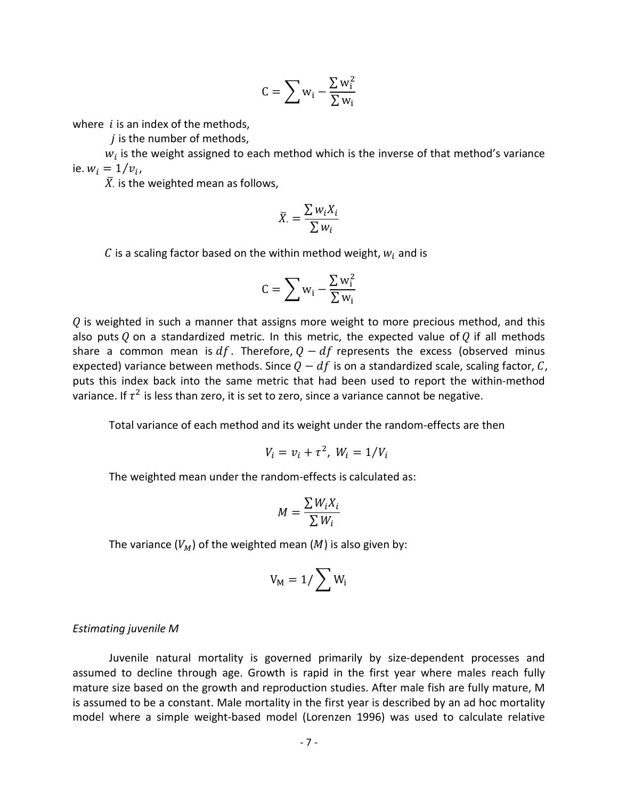$$
C = \sum w_i - \frac{\sum w_i^2}{\sum w_i}
$$

where  $i$  is an index of the methods,

 $i$  is the number of methods,

 $w_i$  is the weight assigned to each method which is the inverse of that method's variance ie.  $w_i = 1/v_i$ ,

 $\bar{X}$  is the weighted mean as follows,

$$
\bar{X}_{\cdot} = \frac{\sum w_i X_i}{\sum w_i}
$$

C is a scaling factor based on the within method weight,  $w_i$  and is

$$
C = \sum w_i - \frac{\sum w_i^2}{\sum w_i}
$$

 $\theta$  is weighted in such a manner that assigns more weight to more precious method, and this also puts Q on a standardized metric. In this metric, the expected value of Q if all methods share a common mean is  $df$ . Therefore,  $Q - df$  represents the excess (observed minus expected) variance between methods. Since  $Q - df$  is on a standardized scale, scaling factor, C, puts this index back into the same metric that had been used to report the within-method variance. If  $\tau^2$  is less than zero, it is set to zero, since a variance cannot be negative.

Total variance of each method and its weight under the random-effects are then

$$
V_i = v_i + \tau^2, \ W_i = 1/V_i
$$

The weighted mean under the random-effects is calculated as:

$$
M = \frac{\sum W_i X_i}{\sum W_i}
$$

The variance  $(V_M)$  of the weighted mean  $(M)$  is also given by:

$$
V_M=1/\sum W_i\,
$$

#### *Estimating juvenile M*

Juvenile natural mortality is governed primarily by size-dependent processes and assumed to decline through age. Growth is rapid in the first year where males reach fully mature size based on the growth and reproduction studies. After male fish are fully mature, M is assumed to be a constant. Male mortality in the first year is described by an ad hoc mortality model where a simple weight-based model (Lorenzen 1996) was used to calculate relative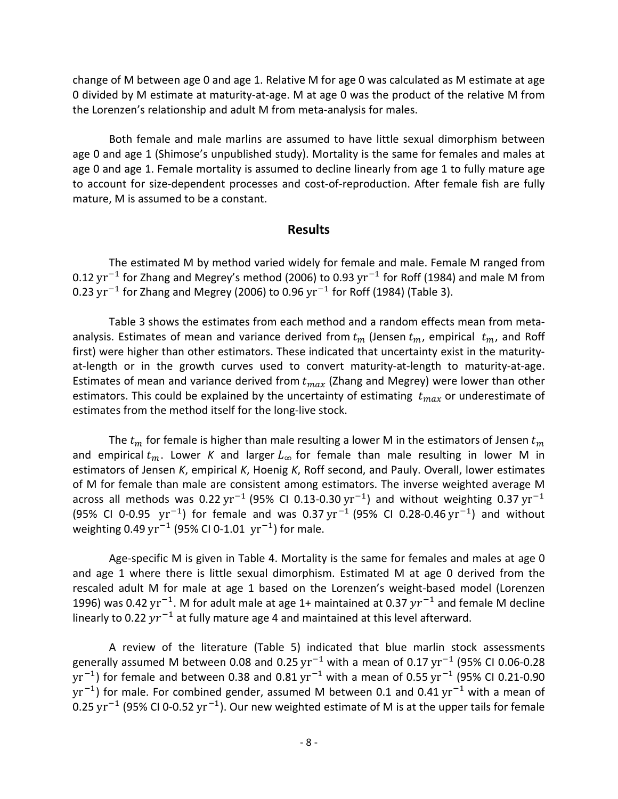change of M between age 0 and age 1. Relative M for age 0 was calculated as M estimate at age 0 divided by M estimate at maturity-at-age. M at age 0 was the product of the relative M from the Lorenzen's relationship and adult M from meta-analysis for males.

Both female and male marlins are assumed to have little sexual dimorphism between age 0 and age 1 (Shimose's unpublished study). Mortality is the same for females and males at age 0 and age 1. Female mortality is assumed to decline linearly from age 1 to fully mature age to account for size-dependent processes and cost-of-reproduction. After female fish are fully mature, M is assumed to be a constant.

### **Results**

The estimated M by method varied widely for female and male. Female M ranged from 0.12 yr<sup>-1</sup> for Zhang and Megrey's method (2006) to 0.93 yr<sup>-1</sup> for Roff (1984) and male M from 0.23  $yr^{-1}$  for Zhang and Megrey (2006) to 0.96  $yr^{-1}$  for Roff (1984) (Table 3).

Table 3 shows the estimates from each method and a random effects mean from metaanalysis. Estimates of mean and variance derived from  $t_m$  (Jensen  $t_m$ , empirical  $t_m$ , and Roff first) were higher than other estimators. These indicated that uncertainty exist in the maturityat-length or in the growth curves used to convert maturity-at-length to maturity-at-age. Estimates of mean and variance derived from  $t_{max}$  (Zhang and Megrey) were lower than other estimators. This could be explained by the uncertainty of estimating  $t_{max}$  or underestimate of estimates from the method itself for the long-live stock.

The  $t_m$  for female is higher than male resulting a lower M in the estimators of Jensen  $t_m$ and empirical  $t_m$ . Lower *K* and larger  $L_{\infty}$  for female than male resulting in lower M in estimators of Jensen *K*, empirical *K*, Hoenig *K*, Roff second, and Pauly. Overall, lower estimates of M for female than male are consistent among estimators. The inverse weighted average M across all methods was 0.22 yr<sup>-1</sup> (95% CI 0.13-0.30 yr<sup>-1</sup>) and without weighting 0.37 yr<sup>-1</sup> (95% CI 0-0.95  $yr^{-1}$ ) for female and was 0.37  $yr^{-1}$  (95% CI 0.28-0.46  $yr^{-1}$ ) and without weighting 0.49 yr<sup>-1</sup> (95% CI 0-1.01 yr<sup>-1</sup>) for male.

Age-specific M is given in Table 4. Mortality is the same for females and males at age 0 and age 1 where there is little sexual dimorphism. Estimated M at age 0 derived from the rescaled adult M for male at age 1 based on the Lorenzen's weight-based model (Lorenzen 1996) was 0.42 yr<sup>-1</sup>. M for adult male at age 1+ maintained at 0.37  $yr^{-1}$  and female M decline linearly to 0.22  $yr^{-1}$  at fully mature age 4 and maintained at this level afterward.

A review of the literature (Table 5) indicated that blue marlin stock assessments generally assumed M between 0.08 and 0.25 yr<sup>-1</sup> with a mean of 0.17 yr<sup>-1</sup> (95% CI 0.06-0.28  $yr^{-1}$ ) for female and between 0.38 and 0.81  $yr^{-1}$  with a mean of 0.55  $yr^{-1}$  (95% CI 0.21-0.90  $yr^{-1}$ ) for male. For combined gender, assumed M between 0.1 and 0.41  $yr^{-1}$  with a mean of 0.25 yr<sup>-1</sup> (95% CI 0-0.52 yr<sup>-1</sup>). Our new weighted estimate of M is at the upper tails for female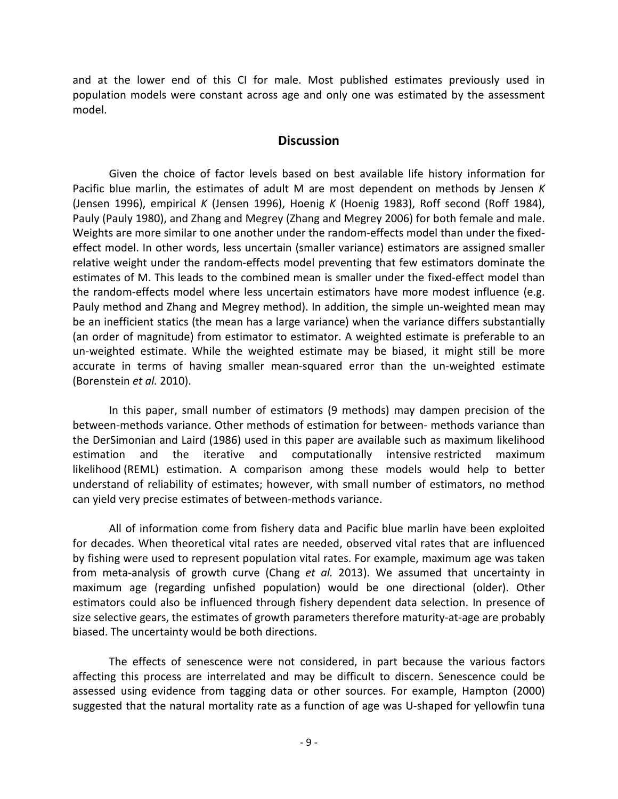and at the lower end of this CI for male. Most published estimates previously used in population models were constant across age and only one was estimated by the assessment model.

### **Discussion**

Given the choice of factor levels based on best available life history information for Pacific blue marlin, the estimates of adult M are most dependent on methods by Jensen *K* (Jensen 1996), empirical *K* (Jensen 1996), Hoenig *K* (Hoenig 1983), Roff second (Roff 1984), Pauly (Pauly 1980), and Zhang and Megrey (Zhang and Megrey 2006) for both female and male. Weights are more similar to one another under the random-effects model than under the fixedeffect model. In other words, less uncertain (smaller variance) estimators are assigned smaller relative weight under the random-effects model preventing that few estimators dominate the estimates of M. This leads to the combined mean is smaller under the fixed-effect model than the random-effects model where less uncertain estimators have more modest influence (e.g. Pauly method and Zhang and Megrey method). In addition, the simple un-weighted mean may be an inefficient statics (the mean has a large variance) when the variance differs substantially (an order of magnitude) from estimator to estimator. A weighted estimate is preferable to an un-weighted estimate. While the weighted estimate may be biased, it might still be more accurate in terms of having smaller mean-squared error than the un-weighted estimate (Borenstein *et al.* 2010).

In this paper, small number of estimators (9 methods) may dampen precision of the between-methods variance. Other methods of estimation for between- methods variance than the DerSimonian and Laird (1986) used in this paper are available such as maximum likelihood estimation and the iterative and computationally intensive [restricted maximum](http://en.wikipedia.org/wiki/Restricted_maximum_likelihood)  [likelihood](http://en.wikipedia.org/wiki/Restricted_maximum_likelihood) (REML) estimation. A comparison among these models would help to better understand of reliability of estimates; however, with small number of estimators, no method can yield very precise estimates of between-methods variance.

All of information come from fishery data and Pacific blue marlin have been exploited for decades. When theoretical vital rates are needed, observed vital rates that are influenced by fishing were used to represent population vital rates. For example, maximum age was taken from meta-analysis of growth curve (Chang *et al.* 2013). We assumed that uncertainty in maximum age (regarding unfished population) would be one directional (older). Other estimators could also be influenced through fishery dependent data selection. In presence of size selective gears, the estimates of growth parameters therefore maturity-at-age are probably biased. The uncertainty would be both directions.

The effects of senescence were not considered, in part because the various factors affecting this process are interrelated and may be difficult to discern. Senescence could be assessed using evidence from tagging data or other sources. For example, Hampton (2000) suggested that the natural mortality rate as a function of age was U-shaped for yellowfin tuna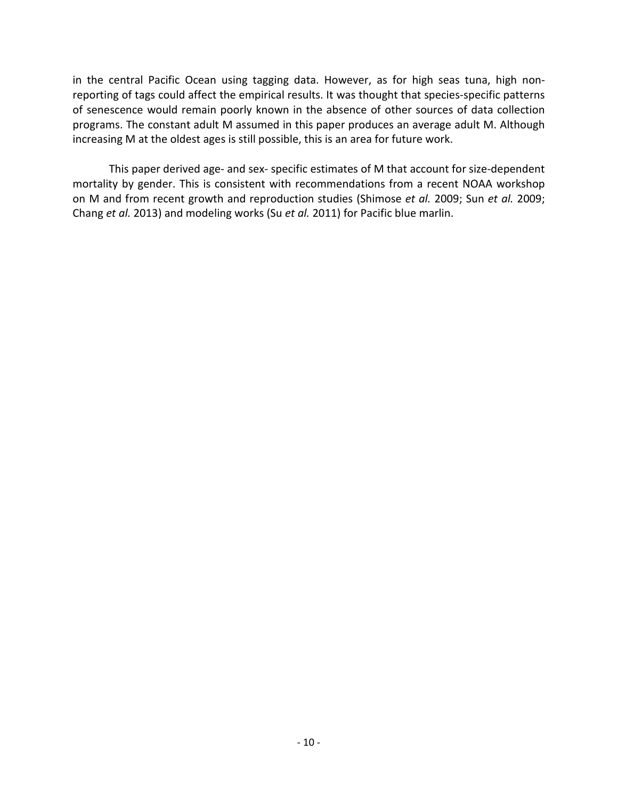in the central Pacific Ocean using tagging data. However, as for high seas tuna, high nonreporting of tags could affect the empirical results. It was thought that species-specific patterns of senescence would remain poorly known in the absence of other sources of data collection programs. The constant adult M assumed in this paper produces an average adult M. Although increasing M at the oldest ages is still possible, this is an area for future work.

This paper derived age- and sex- specific estimates of M that account for size-dependent mortality by gender. This is consistent with recommendations from a recent NOAA workshop on M and from recent growth and reproduction studies (Shimose *et al.* 2009; Sun *et al.* 2009; Chang *et al.* 2013) and modeling works (Su *et al.* 2011) for Pacific blue marlin.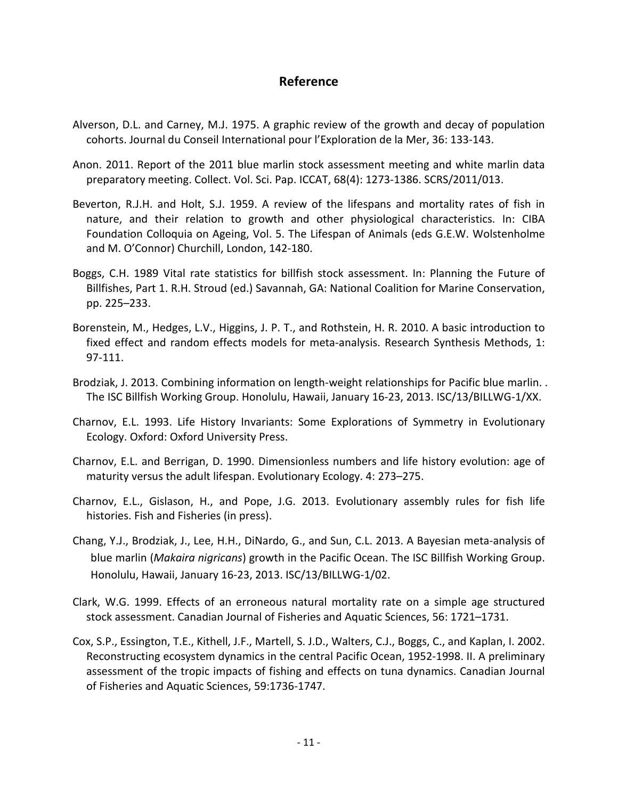## **Reference**

- Alverson, D.L. and Carney, M.J. 1975. A graphic review of the growth and decay of population cohorts. Journal du Conseil International pour l'Exploration de la Mer, 36: 133-143.
- Anon. 2011. Report of the 2011 blue marlin stock assessment meeting and white marlin data preparatory meeting. Collect. Vol. Sci. Pap. ICCAT, 68(4): 1273-1386. SCRS/2011/013.
- Beverton, R.J.H. and Holt, S.J. 1959. A review of the lifespans and mortality rates of fish in nature, and their relation to growth and other physiological characteristics. In: CIBA Foundation Colloquia on Ageing, Vol. 5. The Lifespan of Animals (eds G.E.W. Wolstenholme and M. O'Connor) Churchill, London, 142-180.
- Boggs, C.H. 1989 Vital rate statistics for billfish stock assessment. In: Planning the Future of Billfishes, Part 1. R.H. Stroud (ed.) Savannah, GA: National Coalition for Marine Conservation, pp. 225–233.
- Borenstein, M., Hedges, L.V., Higgins, J. P. T., and Rothstein, H. R. 2010. A basic introduction to fixed effect and random effects models for meta-analysis. Research Synthesis Methods, 1: 97-111.
- Brodziak, J. 2013. Combining information on length-weight relationships for Pacific blue marlin. . The ISC Billfish Working Group. Honolulu, Hawaii, January 16-23, 2013. ISC/13/BILLWG-1/XX.
- Charnov, E.L. 1993. Life History Invariants: Some Explorations of Symmetry in Evolutionary Ecology. Oxford: Oxford University Press.
- Charnov, E.L. and Berrigan, D. 1990. Dimensionless numbers and life history evolution: age of maturity versus the adult lifespan. Evolutionary Ecology. 4: 273–275.
- Charnov, E.L., Gislason, H., and Pope, J.G. 2013. Evolutionary assembly rules for fish life histories. Fish and Fisheries (in press).
- Chang, Y.J., Brodziak, J., Lee, H.H., DiNardo, G., and Sun, C.L. 2013. A Bayesian meta-analysis of blue marlin (*Makaira nigricans*) growth in the Pacific Ocean. The ISC Billfish Working Group. Honolulu, Hawaii, January 16-23, 2013. ISC/13/BILLWG-1/02.
- Clark, W.G. 1999. Effects of an erroneous natural mortality rate on a simple age structured stock assessment. Canadian Journal of Fisheries and Aquatic Sciences, 56: 1721–1731.
- Cox, S.P., Essington, T.E., Kithell, J.F., Martell, S. J.D., Walters, C.J., Boggs, C., and Kaplan, I. 2002. Reconstructing ecosystem dynamics in the central Pacific Ocean, 1952-1998. II. A preliminary assessment of the tropic impacts of fishing and effects on tuna dynamics. Canadian Journal of Fisheries and Aquatic Sciences, 59:1736-1747.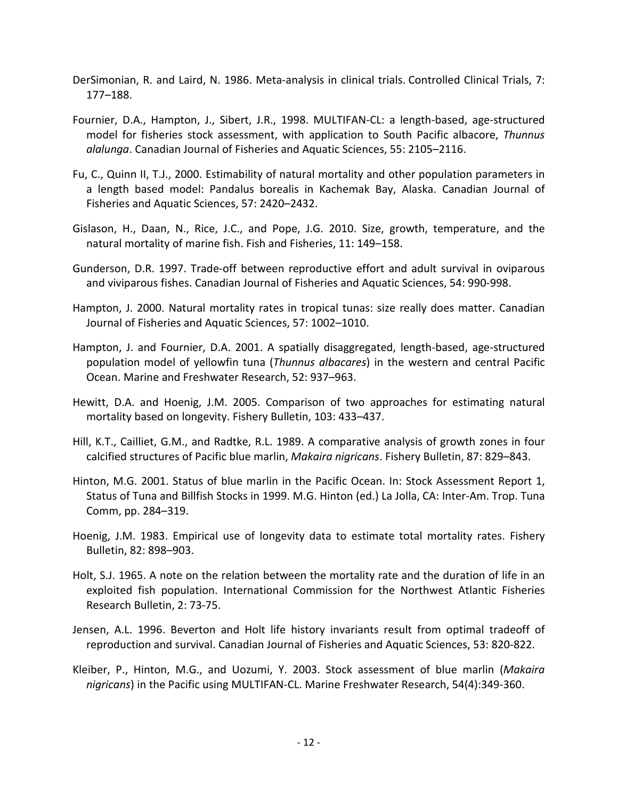- DerSimonian, R. and Laird, N. 1986. Meta-analysis in clinical trials. Controlled Clinical Trials, 7: 177–188.
- Fournier, D.A., Hampton, J., Sibert, J.R., 1998. MULTIFAN-CL: a length-based, age-structured model for fisheries stock assessment, with application to South Pacific albacore, *Thunnus alalunga*. Canadian Journal of Fisheries and Aquatic Sciences, 55: 2105–2116.
- Fu, C., Quinn II, T.J., 2000. Estimability of natural mortality and other population parameters in a length based model: Pandalus borealis in Kachemak Bay, Alaska. Canadian Journal of Fisheries and Aquatic Sciences, 57: 2420–2432.
- Gislason, H., Daan, N., Rice, J.C., and Pope, J.G. 2010. Size, growth, temperature, and the natural mortality of marine fish. Fish and Fisheries, 11: 149–158.
- Gunderson, D.R. 1997. Trade-off between reproductive effort and adult survival in oviparous and viviparous fishes. Canadian Journal of Fisheries and Aquatic Sciences, 54: 990-998.
- Hampton, J. 2000. Natural mortality rates in tropical tunas: size really does matter. Canadian Journal of Fisheries and Aquatic Sciences, 57: 1002–1010.
- Hampton, J. and Fournier, D.A. 2001. A spatially disaggregated, length-based, age-structured population model of yellowfin tuna (*Thunnus albacares*) in the western and central Pacific Ocean. Marine and Freshwater Research, 52: 937–963.
- Hewitt, D.A. and Hoenig, J.M. 2005. Comparison of two approaches for estimating natural mortality based on longevity. Fishery Bulletin, 103: 433–437.
- Hill, K.T., Cailliet, G.M., and Radtke, R.L. 1989. A comparative analysis of growth zones in four calcified structures of Pacific blue marlin, *Makaira nigricans*. Fishery Bulletin, 87: 829–843.
- Hinton, M.G. 2001. Status of blue marlin in the Pacific Ocean. In: Stock Assessment Report 1, Status of Tuna and Billfish Stocks in 1999. M.G. Hinton (ed.) La Jolla, CA: Inter-Am. Trop. Tuna Comm, pp. 284–319.
- Hoenig, J.M. 1983. Empirical use of longevity data to estimate total mortality rates. Fishery Bulletin, 82: 898–903.
- Holt, S.J. 1965. A note on the relation between the mortality rate and the duration of life in an exploited fish population. International Commission for the Northwest Atlantic Fisheries Research Bulletin, 2: 73-75.
- Jensen, A.L. 1996. Beverton and Holt life history invariants result from optimal tradeoff of reproduction and survival. Canadian Journal of Fisheries and Aquatic Sciences, 53: 820-822.
- Kleiber, P., Hinton, M.G., and Uozumi, Y. 2003. Stock assessment of blue marlin (*Makaira nigricans*) in the Pacific using MULTIFAN-CL. Marine Freshwater Research, 54(4):349-360.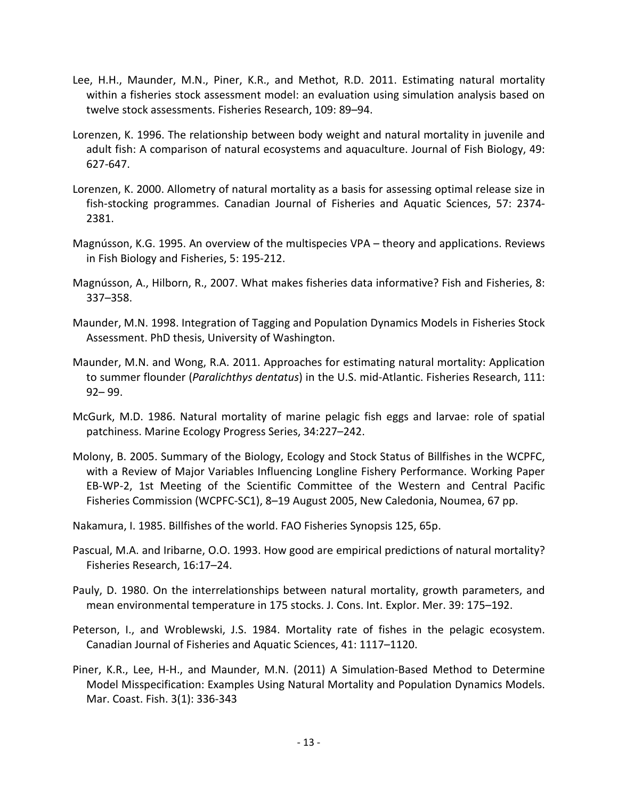- Lee, H.H., Maunder, M.N., Piner, K.R., and Methot, R.D. 2011. Estimating natural mortality within a fisheries stock assessment model: an evaluation using simulation analysis based on twelve stock assessments. Fisheries Research, 109: 89–94.
- Lorenzen, K. 1996. The relationship between body weight and natural mortality in juvenile and adult fish: A comparison of natural ecosystems and aquaculture. Journal of Fish Biology, 49: 627-647.
- Lorenzen, K. 2000. Allometry of natural mortality as a basis for assessing optimal release size in fish-stocking programmes. Canadian Journal of Fisheries and Aquatic Sciences, 57: 2374- 2381.
- Magnússon, K.G. 1995. An overview of the multispecies VPA theory and applications. Reviews in Fish Biology and Fisheries, 5: 195-212.
- Magnússon, A., Hilborn, R., 2007. What makes fisheries data informative? Fish and Fisheries, 8: 337–358.
- Maunder, M.N. 1998. Integration of Tagging and Population Dynamics Models in Fisheries Stock Assessment. PhD thesis, University of Washington.
- Maunder, M.N. and Wong, R.A. 2011. Approaches for estimating natural mortality: Application to summer flounder (*Paralichthys dentatus*) in the U.S. mid-Atlantic. Fisheries Research, 111: 92– 99.
- McGurk, M.D. 1986. Natural mortality of marine pelagic fish eggs and larvae: role of spatial patchiness. Marine Ecology Progress Series, 34:227–242.
- Molony, B. 2005. Summary of the Biology, Ecology and Stock Status of Billfishes in the WCPFC, with a Review of Major Variables Influencing Longline Fishery Performance. Working Paper EB-WP-2, 1st Meeting of the Scientific Committee of the Western and Central Pacific Fisheries Commission (WCPFC-SC1), 8–19 August 2005, New Caledonia, Noumea, 67 pp.
- Nakamura, I. 1985. Billfishes of the world. FAO Fisheries Synopsis 125, 65p.
- Pascual, M.A. and Iribarne, O.O. 1993. How good are empirical predictions of natural mortality? Fisheries Research, 16:17–24.
- Pauly, D. 1980. On the interrelationships between natural mortality, growth parameters, and mean environmental temperature in 175 stocks. J. Cons. Int. Explor. Mer. 39: 175–192.
- Peterson, I., and Wroblewski, J.S. 1984. Mortality rate of fishes in the pelagic ecosystem. Canadian Journal of Fisheries and Aquatic Sciences, 41: 1117–1120.
- Piner, K.R., Lee, H-H., and Maunder, M.N. (2011) A Simulation-Based Method to Determine Model Misspecification: Examples Using Natural Mortality and Population Dynamics Models. Mar. Coast. Fish. 3(1): 336-343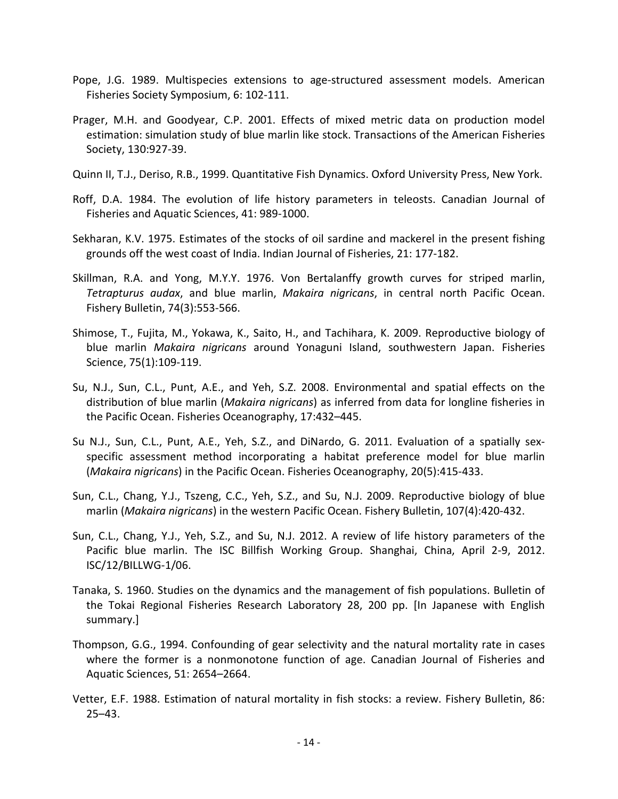- Pope, J.G. 1989. Multispecies extensions to age-structured assessment models. American Fisheries Society Symposium, 6: 102-111.
- Prager, M.H. and Goodyear, C.P. 2001. Effects of mixed metric data on production model estimation: simulation study of blue marlin like stock. Transactions of the American Fisheries Society, 130:927-39.
- Quinn II, T.J., Deriso, R.B., 1999. Quantitative Fish Dynamics. Oxford University Press, New York.
- Roff, D.A. 1984. The evolution of life history parameters in teleosts. Canadian Journal of Fisheries and Aquatic Sciences, 41: 989-1000.
- Sekharan, K.V. 1975. Estimates of the stocks of oil sardine and mackerel in the present fishing grounds off the west coast of India. Indian Journal of Fisheries, 21: 177-182.
- Skillman, R.A. and Yong, M.Y.Y. 1976. Von Bertalanffy growth curves for striped marlin, *Tetrapturus audax*, and blue marlin, *Makaira nigricans*, in central north Pacific Ocean. Fishery Bulletin, 74(3):553-566.
- Shimose, T., Fujita, M., Yokawa, K., Saito, H., and Tachihara, K. 2009. Reproductive biology of blue marlin *Makaira nigricans* around Yonaguni Island, southwestern Japan. Fisheries Science, 75(1):109-119.
- Su, N.J., Sun, C.L., Punt, A.E., and Yeh, S.Z. 2008. Environmental and spatial effects on the distribution of blue marlin (*Makaira nigricans*) as inferred from data for longline fisheries in the Pacific Ocean. Fisheries Oceanography, 17:432–445.
- Su N.J., Sun, C.L., Punt, A.E., Yeh, S.Z., and DiNardo, G. 2011. Evaluation of a spatially sexspecific assessment method incorporating a habitat preference model for blue marlin (*Makaira nigricans*) in the Pacific Ocean. Fisheries Oceanography, 20(5):415-433.
- Sun, C.L., Chang, Y.J., Tszeng, C.C., Yeh, S.Z., and Su, N.J. 2009. Reproductive biology of blue marlin (*Makaira nigricans*) in the western Pacific Ocean. Fishery Bulletin, 107(4):420-432.
- Sun, C.L., Chang, Y.J., Yeh, S.Z., and Su, N.J. 2012. A review of life history parameters of the Pacific blue marlin. The ISC Billfish Working Group. Shanghai, China, April 2-9, 2012. ISC/12/BILLWG-1/06.
- Tanaka, S. 1960. Studies on the dynamics and the management of fish populations. Bulletin of the Tokai Regional Fisheries Research Laboratory 28, 200 pp. [In Japanese with English summary.]
- Thompson, G.G., 1994. Confounding of gear selectivity and the natural mortality rate in cases where the former is a nonmonotone function of age. Canadian Journal of Fisheries and Aquatic Sciences, 51: 2654–2664.
- Vetter, E.F. 1988. Estimation of natural mortality in fish stocks: a review. Fishery Bulletin, 86: 25–43.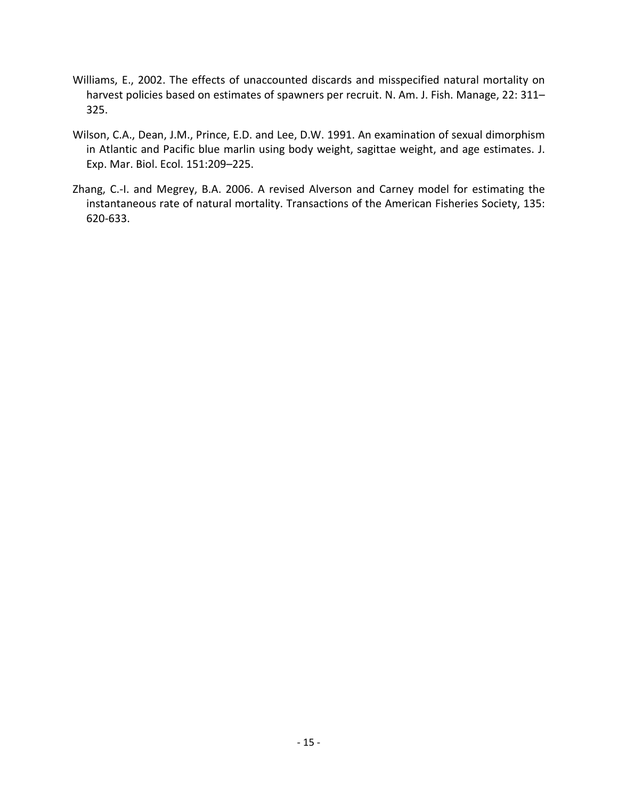- Williams, E., 2002. The effects of unaccounted discards and misspecified natural mortality on harvest policies based on estimates of spawners per recruit. N. Am. J. Fish. Manage, 22: 311-325.
- Wilson, C.A., Dean, J.M., Prince, E.D. and Lee, D.W. 1991. An examination of sexual dimorphism in Atlantic and Pacific blue marlin using body weight, sagittae weight, and age estimates. J. Exp. Mar. Biol. Ecol. 151:209–225.
- Zhang, C.-I. and Megrey, B.A. 2006. A revised Alverson and Carney model for estimating the instantaneous rate of natural mortality. Transactions of the American Fisheries Society, 135: 620-633.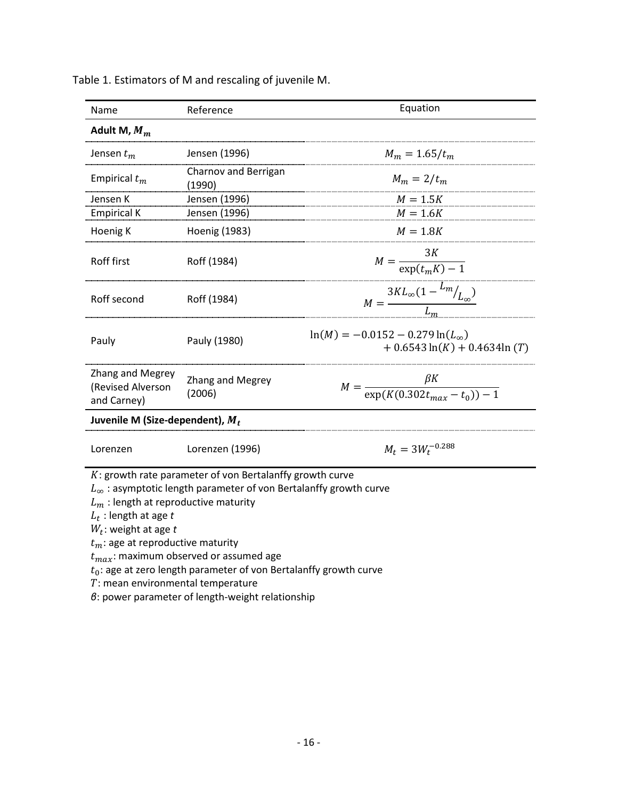| Name                                                                                                                                                                          | Reference                                                                                                                                                                                                                                                       | Equation                                                                  |  |  |  |
|-------------------------------------------------------------------------------------------------------------------------------------------------------------------------------|-----------------------------------------------------------------------------------------------------------------------------------------------------------------------------------------------------------------------------------------------------------------|---------------------------------------------------------------------------|--|--|--|
| Adult M, $M_m$                                                                                                                                                                |                                                                                                                                                                                                                                                                 |                                                                           |  |  |  |
| Jensen $t_m$                                                                                                                                                                  | Jensen (1996)                                                                                                                                                                                                                                                   | $M_m = 1.65/t_m$                                                          |  |  |  |
| Empirical $t_m$                                                                                                                                                               | Charnov and Berrigan<br>(1990)                                                                                                                                                                                                                                  | $M_m = 2/t_m$                                                             |  |  |  |
| Jensen K                                                                                                                                                                      | Jensen (1996)                                                                                                                                                                                                                                                   | $M = 1.5K$                                                                |  |  |  |
| <b>Empirical K</b>                                                                                                                                                            | Jensen (1996)                                                                                                                                                                                                                                                   | $M = 1.6K$                                                                |  |  |  |
| Hoenig K                                                                                                                                                                      | Hoenig (1983)                                                                                                                                                                                                                                                   | $M = 1.8K$                                                                |  |  |  |
| Roff first                                                                                                                                                                    | Roff (1984)                                                                                                                                                                                                                                                     | $M = \frac{3K}{\exp(t_m K) - 1}$                                          |  |  |  |
| Roff second                                                                                                                                                                   | Roff (1984)                                                                                                                                                                                                                                                     | $M = \frac{3KL_{\infty}(1 - \frac{L_m}{L_{\infty}})}{L_m}$                |  |  |  |
| Pauly                                                                                                                                                                         | Pauly (1980)                                                                                                                                                                                                                                                    | $ln(M) = -0.0152 - 0.279 ln(L\infty)$<br>$+0.6543 \ln(K) + 0.4634 \ln(T)$ |  |  |  |
| Zhang and Megrey<br>(Revised Alverson<br>and Carney)                                                                                                                          | Zhang and Megrey<br>(2006)                                                                                                                                                                                                                                      | $M = \frac{\beta K}{\exp(K(0.302t_{max} - t_0)) - 1}$                     |  |  |  |
| Juvenile M (Size-dependent), $M_t$                                                                                                                                            |                                                                                                                                                                                                                                                                 |                                                                           |  |  |  |
| Lorenzen                                                                                                                                                                      | Lorenzen (1996)                                                                                                                                                                                                                                                 | $M_t = 3W_t^{-0.288}$                                                     |  |  |  |
| $L_m$ : length at reproductive maturity<br>$L_t$ : length at age t<br>$W_t$ : weight at age t<br>$t_m$ : age at reproductive maturity<br>$T$ : mean environmental temperature | $K:$ growth rate parameter of von Bertalanffy growth curve<br>$L_{\infty}$ : asymptotic length parameter of von Bertalanffy growth curve<br>$t_{max}$ : maximum observed or assumed age<br>$t_0$ : age at zero length parameter of von Bertalanffy growth curve |                                                                           |  |  |  |

Table 1. Estimators of M and rescaling of juvenile M.

*β*: power parameter of length-weight relationship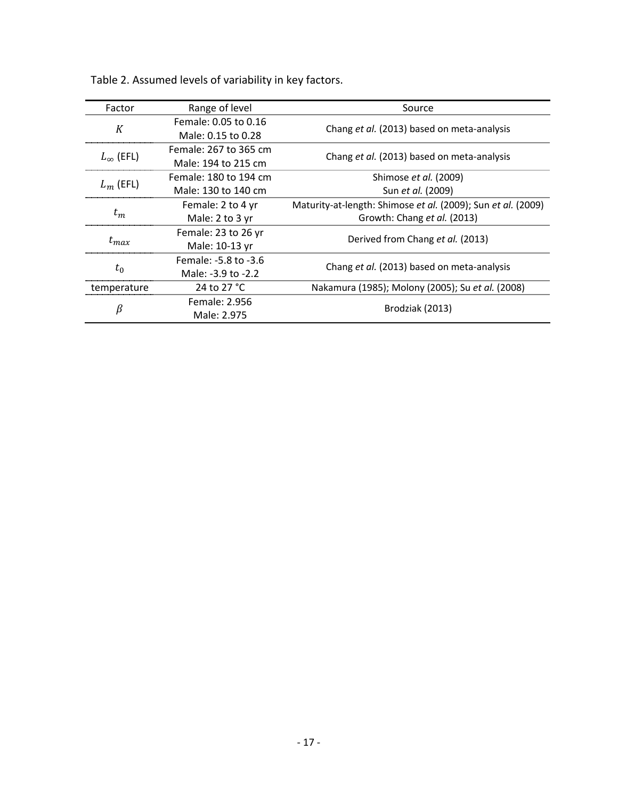| Factor             | Range of level        | Source                                                       |  |  |
|--------------------|-----------------------|--------------------------------------------------------------|--|--|
| K                  | Female: 0.05 to 0.16  |                                                              |  |  |
|                    | Male: 0.15 to 0.28    | Chang et al. (2013) based on meta-analysis                   |  |  |
| $L_{\infty}$ (EFL) | Female: 267 to 365 cm |                                                              |  |  |
|                    | Male: 194 to 215 cm   | Chang et al. (2013) based on meta-analysis                   |  |  |
| $L_m$ (EFL)        | Female: 180 to 194 cm | Shimose et al. (2009)                                        |  |  |
|                    | Male: 130 to 140 cm   | Sun et al. (2009)                                            |  |  |
| $t_m$              | Female: 2 to 4 yr     | Maturity-at-length: Shimose et al. (2009); Sun et al. (2009) |  |  |
|                    | Male: 2 to 3 yr       | Growth: Chang et al. (2013)                                  |  |  |
| $t_{max}$          | Female: 23 to 26 yr   | Derived from Chang et al. (2013)                             |  |  |
|                    | Male: 10-13 yr        |                                                              |  |  |
| $t_0$              | Female: -5.8 to -3.6  |                                                              |  |  |
|                    | Male: -3.9 to -2.2    | Chang et al. (2013) based on meta-analysis                   |  |  |
| temperature        | 24 to 27 °C           | Nakamura (1985); Molony (2005); Su et al. (2008)             |  |  |
| β                  | Female: 2.956         |                                                              |  |  |
|                    | Male: 2.975           | Brodziak (2013)                                              |  |  |

Table 2. Assumed levels of variability in key factors.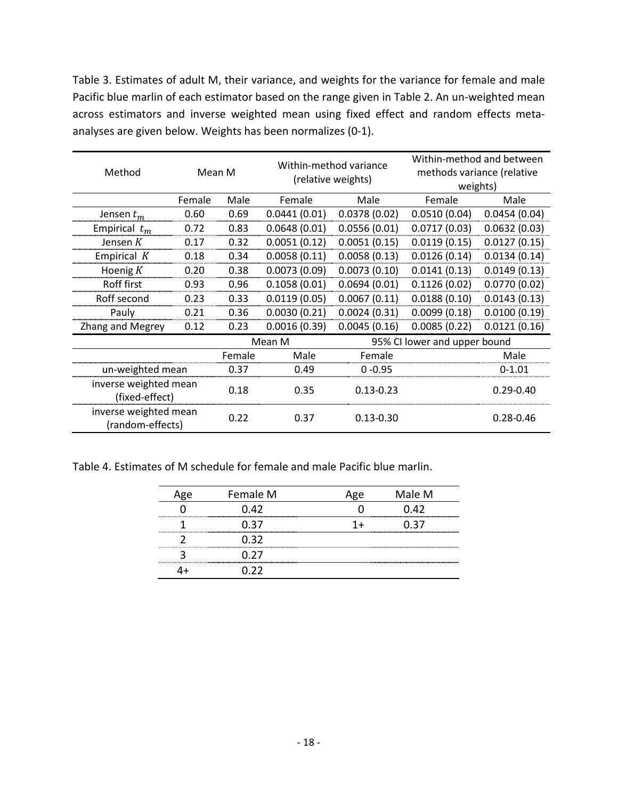Table 3. Estimates of adult M, their variance, and weights for the variance for female and male Pacific blue marlin of each estimator based on the range given in Table 2. An un-weighted mean across estimators and inverse weighted mean using fixed effect and random effects metaanalyses are given below. Weights has been normalizes (0-1).

| Method                                    | Mean M |        | Within-method variance<br>(relative weights) |                              | Within-method and between<br>methods variance (relative<br>weights) |               |
|-------------------------------------------|--------|--------|----------------------------------------------|------------------------------|---------------------------------------------------------------------|---------------|
|                                           | Female | Male   | Female                                       | Male                         | Female                                                              | Male          |
| Jensen $t_m$                              | 0.60   | 0.69   | 0.0441(0.01)                                 | 0.0378(0.02)                 | 0.0510(0.04)                                                        | 0.0454(0.04)  |
| Empirical $t_m$                           | 0.72   | 0.83   | 0.0648(0.01)                                 | 0.0556(0.01)                 | 0.0717(0.03)                                                        | 0.0632(0.03)  |
| Jensen $K$                                | 0.17   | 0.32   | 0.0051(0.12)                                 | 0.0051(0.15)                 | 0.0119(0.15)                                                        | 0.0127(0.15)  |
| Empirical $K$                             | 0.18   | 0.34   | 0.0058(0.11)                                 | 0.0058(0.13)                 | 0.0126(0.14)                                                        | 0.0134(0.14)  |
| Hoenig $K$                                | 0.20   | 0.38   | 0.0073(0.09)                                 | 0.0073(0.10)                 | 0.0141(0.13)                                                        | 0.0149(0.13)  |
| Roff first                                | 0.93   | 0.96   | 0.1058(0.01)                                 | 0.0694(0.01)                 | 0.1126(0.02)                                                        | 0.0770(0.02)  |
| Roff second                               | 0.23   | 0.33   | 0.0119(0.05)                                 | 0.0067(0.11)                 | 0.0188(0.10)                                                        | 0.0143(0.13)  |
| Pauly                                     | 0.21   | 0.36   | 0.0030(0.21)                                 | 0.0024(0.31)                 | 0.0099(0.18)                                                        | 0.0100(0.19)  |
| Zhang and Megrey                          | 0.12   | 0.23   | 0.0016(0.39)                                 | 0.0045(0.16)                 | 0.0085(0.22)                                                        | 0.0121(0.16)  |
|                                           |        | Mean M |                                              | 95% CI lower and upper bound |                                                                     |               |
|                                           |        | Female | Male                                         | Female                       |                                                                     | Male          |
| un-weighted mean                          |        | 0.37   | 0.49                                         | $0 - 0.95$                   |                                                                     | $0-1.01$      |
| inverse weighted mean<br>(fixed-effect)   |        | 0.18   | 0.35                                         | $0.13 - 0.23$                |                                                                     | $0.29 - 0.40$ |
| inverse weighted mean<br>(random-effects) |        | 0.22   | 0.37                                         | $0.13 - 0.30$                |                                                                     | $0.28 - 0.46$ |

Table 4. Estimates of M schedule for female and male Pacific blue marlin.

| Female M | Male M |
|----------|--------|
| (1.47)   | D 42.  |
| በ 37     |        |
|          |        |
|          |        |
| つつ       |        |